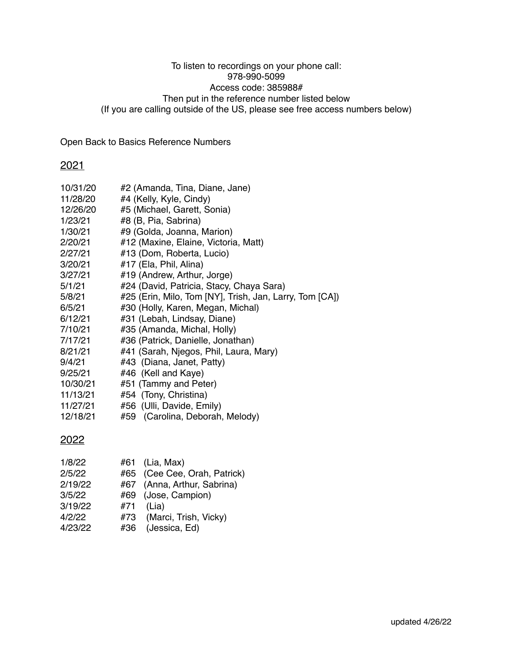### To listen to recordings on your phone call: 978-990-5099 Access code: 385988# Then put in the reference number listed below (If you are calling outside of the US, please see free access numbers below)

Open Back to Basics Reference Numbers

## 2021

| 10/31/20 | #2 (Amanda, Tina, Diane, Jane)                          |  |  |
|----------|---------------------------------------------------------|--|--|
| 11/28/20 | #4 (Kelly, Kyle, Cindy)                                 |  |  |
| 12/26/20 | #5 (Michael, Garett, Sonia)                             |  |  |
| 1/23/21  | #8 (B, Pia, Sabrina)                                    |  |  |
| 1/30/21  | #9 (Golda, Joanna, Marion)                              |  |  |
| 2/20/21  | #12 (Maxine, Elaine, Victoria, Matt)                    |  |  |
| 2/27/21  | #13 (Dom, Roberta, Lucio)                               |  |  |
| 3/20/21  | #17 (Ela, Phil, Alina)                                  |  |  |
| 3/27/21  | #19 (Andrew, Arthur, Jorge)                             |  |  |
| 5/1/21   | #24 (David, Patricia, Stacy, Chaya Sara)                |  |  |
| 5/8/21   | #25 (Erin, Milo, Tom [NY], Trish, Jan, Larry, Tom [CA]) |  |  |
| 6/5/21   | #30 (Holly, Karen, Megan, Michal)                       |  |  |
| 6/12/21  | #31 (Lebah, Lindsay, Diane)                             |  |  |
| 7/10/21  | #35 (Amanda, Michal, Holly)                             |  |  |
| 7/17/21  | #36 (Patrick, Danielle, Jonathan)                       |  |  |
| 8/21/21  | #41 (Sarah, Njegos, Phil, Laura, Mary)                  |  |  |
| 9/4/21   | #43 (Diana, Janet, Patty)                               |  |  |
| 9/25/21  | #46 (Kell and Kaye)                                     |  |  |
| 10/30/21 | #51 (Tammy and Peter)                                   |  |  |
| 11/13/21 | #54 (Tony, Christina)                                   |  |  |
| 11/27/21 | #56 (Ulli, Davide, Emily)                               |  |  |
| 12/18/21 | #59 (Carolina, Deborah, Melody)                         |  |  |
|          |                                                         |  |  |

# 2022

| 1/8/22  |     | #61 (Lia, Max)               |
|---------|-----|------------------------------|
| 2/5/22  |     | #65 (Cee Cee, Orah, Patrick) |
| 2/19/22 |     | #67 (Anna, Arthur, Sabrina)  |
| 3/5/22  |     | #69 (Jose, Campion)          |
| 3/19/22 | #71 | (Lia)                        |
| 4/2/22  |     | #73 (Marci, Trish, Vicky)    |
| 4/23/22 | #36 | (Jessica, Ed)                |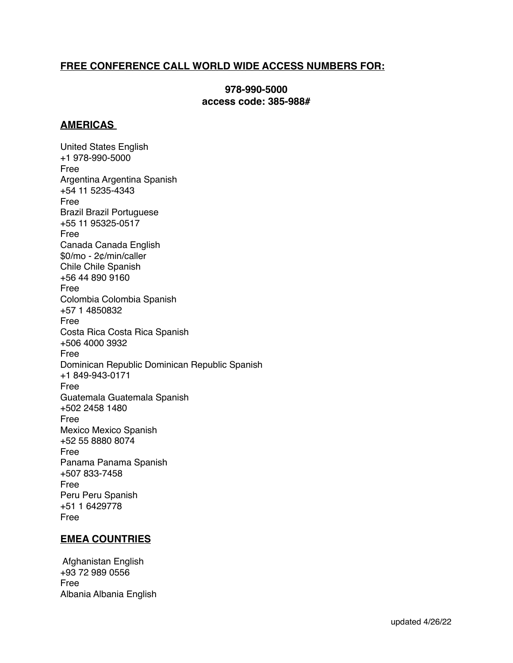## **FREE CONFERENCE CALL WORLD WIDE ACCESS NUMBERS FOR:**

### **978-990-5000 access code: 385-988#**

#### **AMERICAS**

United States English +1 978-990-5000 Free Argentina Argentina Spanish +54 11 5235-4343 Free Brazil Brazil Portuguese +55 11 95325-0517 Free Canada Canada English \$0/mo - 2¢/min/caller Chile Chile Spanish +56 44 890 9160 Free Colombia Colombia Spanish +57 1 4850832 Free Costa Rica Costa Rica Spanish +506 4000 3932 Free Dominican Republic Dominican Republic Spanish +1 849-943-0171 Free Guatemala Guatemala Spanish +502 2458 1480 Free Mexico Mexico Spanish +52 55 8880 8074 Free Panama Panama Spanish +507 833-7458 Free Peru Peru Spanish +51 1 6429778 Free

### **EMEA COUNTRIES**

 Afghanistan English +93 72 989 0556 Free Albania Albania English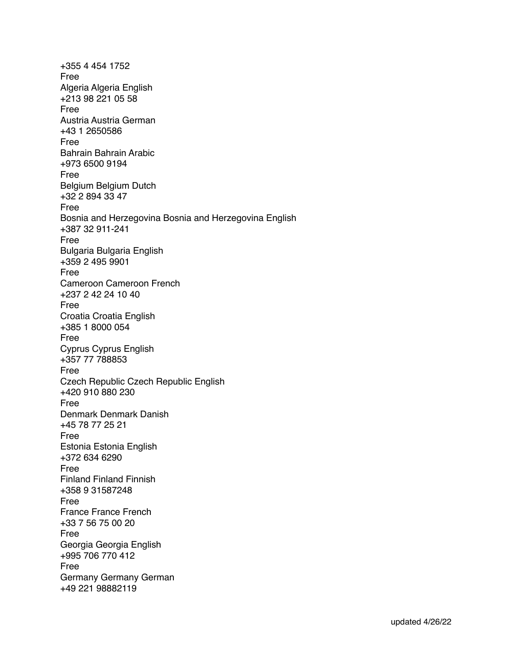+355 4 454 1752 Free Algeria Algeria English +213 98 221 05 58 Free Austria Austria German +43 1 2650586 Free Bahrain Bahrain Arabic +973 6500 9194 Free Belgium Belgium Dutch +32 2 894 33 47 Free Bosnia and Herzegovina Bosnia and Herzegovina English +387 32 911-241 Free Bulgaria Bulgaria English +359 2 495 9901 Free Cameroon Cameroon French +237 2 42 24 10 40 Free Croatia Croatia English +385 1 8000 054 Free Cyprus Cyprus English +357 77 788853 Free Czech Republic Czech Republic English +420 910 880 230 Free Denmark Denmark Danish +45 78 77 25 21 Free Estonia Estonia English +372 634 6290 Free Finland Finland Finnish +358 9 31587248 Free France France French +33 7 56 75 00 20 Free Georgia Georgia English +995 706 770 412 Free Germany Germany German +49 221 98882119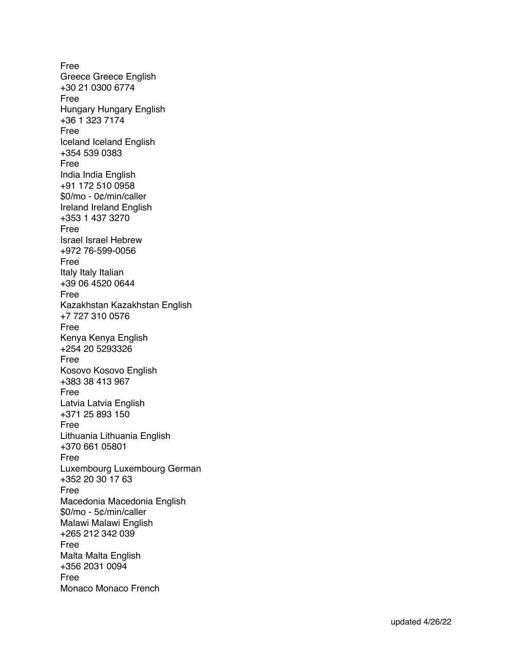Free Greece Greece English +30 21 0300 6774 Free Hungary Hungary English +36 1 323 7174 Free Iceland Iceland English +354 539 0383 Free India India English +91 172 510 0958 \$0/mo - 0¢/min/caller Ireland Ireland English +353 1 437 3270 Free Israel Israel Hebrew +972 76-599-0056 Free Italy Italy Italian +39 06 4520 0644 Free Kazakhstan Kazakhstan English +7 727 310 0576 Free Kenya Kenya English +254 20 5293326 Free Kosovo Kosovo English +383 38 413 967 Free Latvia Latvia English +371 25 893 150 Free Lithuania Lithuania English +370 661 05801 Free Luxembourg Luxembourg German +352 20 30 17 63 Free Macedonia Macedonia English \$0/mo - 5¢/min/caller Malawi Malawi English +265 212 342 039 Free Malta Malta English +356 2031 0094 Free Monaco Monaco French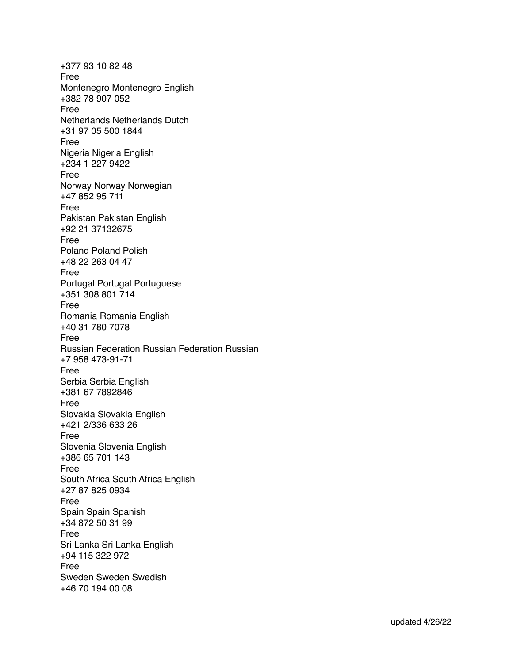+377 93 10 82 48 Free Montenegro Montenegro English +382 78 907 052 Free Netherlands Netherlands Dutch +31 97 05 500 1844 Free Nigeria Nigeria English +234 1 227 9422 Free Norway Norway Norwegian +47 852 95 711 Free Pakistan Pakistan English +92 21 37132675 Free Poland Poland Polish +48 22 263 04 47 Free Portugal Portugal Portuguese +351 308 801 714 Free Romania Romania English +40 31 780 7078 Free Russian Federation Russian Federation Russian +7 958 473-91-71 Free Serbia Serbia English +381 67 7892846 Free Slovakia Slovakia English +421 2/336 633 26 Free Slovenia Slovenia English +386 65 701 143 Free South Africa South Africa English +27 87 825 0934 Free Spain Spain Spanish +34 872 50 31 99 Free Sri Lanka Sri Lanka English +94 115 322 972 Free Sweden Sweden Swedish +46 70 194 00 08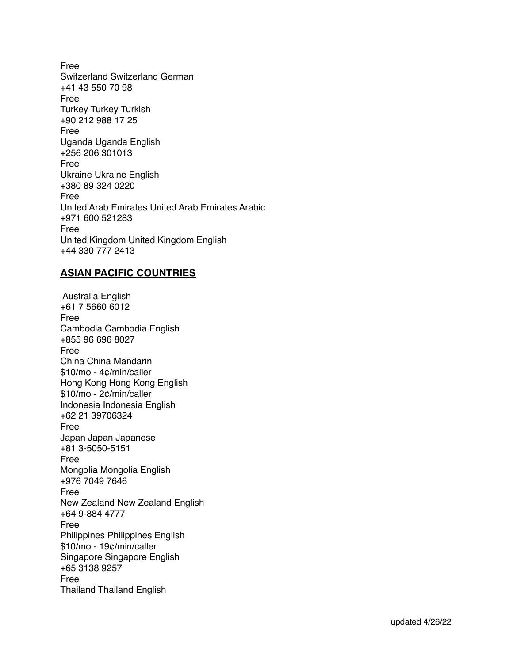Free Switzerland Switzerland German +41 43 550 70 98 Free Turkey Turkey Turkish +90 212 988 17 25 Free Uganda Uganda English +256 206 301013 Free Ukraine Ukraine English +380 89 324 0220 Free United Arab Emirates United Arab Emirates Arabic +971 600 521283 Free United Kingdom United Kingdom English +44 330 777 2413

## **ASIAN PACIFIC COUNTRIES**

 Australia English +61 7 5660 6012 Free Cambodia Cambodia English +855 96 696 8027 Free China China Mandarin \$10/mo - 4¢/min/caller Hong Kong Hong Kong English \$10/mo - 2¢/min/caller Indonesia Indonesia English +62 21 39706324 Free Japan Japan Japanese +81 3-5050-5151 Free Mongolia Mongolia English +976 7049 7646 Free New Zealand New Zealand English +64 9-884 4777 Free Philippines Philippines English \$10/mo - 19¢/min/caller Singapore Singapore English +65 3138 9257 Free Thailand Thailand English